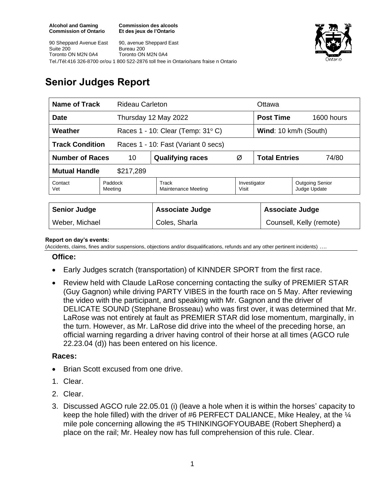**Commission des alcools Et des jeux de l'Ontario**

90 Sheppard Avenue East Suite 200 Toronto ON M2N 0A4 90, avenue Sheppard East Bureau 200 Toronto ON M2N 0A4 Tel./Tél:416 326-8700 or/ou 1 800 522-2876 toll free in Ontario/sans fraise n Ontario



# **Senior Judges Report**

| Name of Track<br><b>Rideau Carleton</b>                       |                    |                                               |                       | Ottawa                        |                                        |
|---------------------------------------------------------------|--------------------|-----------------------------------------------|-----------------------|-------------------------------|----------------------------------------|
| <b>Date</b>                                                   |                    | Thursday 12 May 2022                          |                       | <b>Post Time</b>              | $1600$ hours                           |
| Weather                                                       |                    | Races $1 - 10$ : Clear (Temp: $31^{\circ}$ C) |                       | Wind: 10 km/h (South)         |                                        |
| <b>Track Condition</b><br>Races 1 - 10: Fast (Variant 0 secs) |                    |                                               |                       |                               |                                        |
| <b>Number of Races</b><br>10                                  |                    | <b>Qualifying races</b>                       | Ø                     | <b>Total Entries</b><br>74/80 |                                        |
| <b>Mutual Handle</b><br>\$217,289                             |                    |                                               |                       |                               |                                        |
| Contact<br>Vet                                                | Paddock<br>Meeting | Track<br><b>Maintenance Meeting</b>           | Investigator<br>Visit |                               | <b>Outgoing Senior</b><br>Judge Update |
|                                                               |                    |                                               |                       |                               |                                        |
| <b>Senior Judge</b>                                           |                    | <b>Associate Judge</b>                        |                       | <b>Associate Judge</b>        |                                        |
| Weber, Michael                                                |                    | Coles, Sharla                                 |                       | Counsell, Kelly (remote)      |                                        |

#### **Report on day's events:**

(Accidents, claims, fines and/or suspensions, objections and/or disqualifications, refunds and any other pertinent incidents) ….

#### **Office:**

- Early Judges scratch (transportation) of KINNDER SPORT from the first race.
- Review held with Claude LaRose concerning contacting the sulky of PREMIER STAR (Guy Gagnon) while driving PARTY VIBES in the fourth race on 5 May. After reviewing the video with the participant, and speaking with Mr. Gagnon and the driver of DELICATE SOUND (Stephane Brosseau) who was first over, it was determined that Mr. LaRose was not entirely at fault as PREMIER STAR did lose momentum, marginally, in the turn. However, as Mr. LaRose did drive into the wheel of the preceding horse, an official warning regarding a driver having control of their horse at all times (AGCO rule 22.23.04 (d)) has been entered on his licence.

### **Races:**

- Brian Scott excused from one drive.
- 1. Clear.
- 2. Clear.
- 3. Discussed AGCO rule 22.05.01 (i) (leave a hole when it is within the horses' capacity to keep the hole filled) with the driver of #6 PERFECT DALIANCE, Mike Healey, at the ¼ mile pole concerning allowing the #5 THINKINGOFYOUBABE (Robert Shepherd) a place on the rail; Mr. Healey now has full comprehension of this rule. Clear.